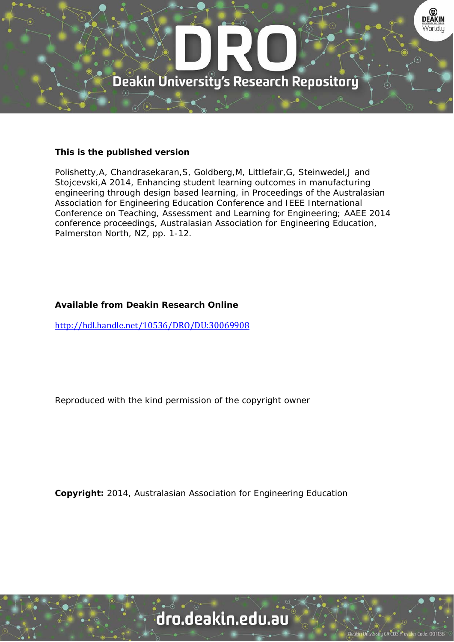

#### **This is the published version**

Polishetty,A, Chandrasekaran,S, Goldberg,M, Littlefair,G, Steinwedel,J and Stojcevski,A 2014, Enhancing student learning outcomes in manufacturing engineering through design based learning, in Proceedings of the Australasian Association for Engineering Education Conference and IEEE International Conference on Teaching, Assessment and Learning for Engineering; AAEE 2014 conference proceedings, Australasian Association for Engineering Education, Palmerston North, NZ, pp. 1-12.

## **Available from Deakin Research Online**

http://hdl.handle.net/10536/DRO/DU:30069908

Reproduced with the kind permission of the copyright owner

**Copyright:** 2014, Australasian Association for Engineering Education

dro.deakin.edu.au

ty CRICOS Pro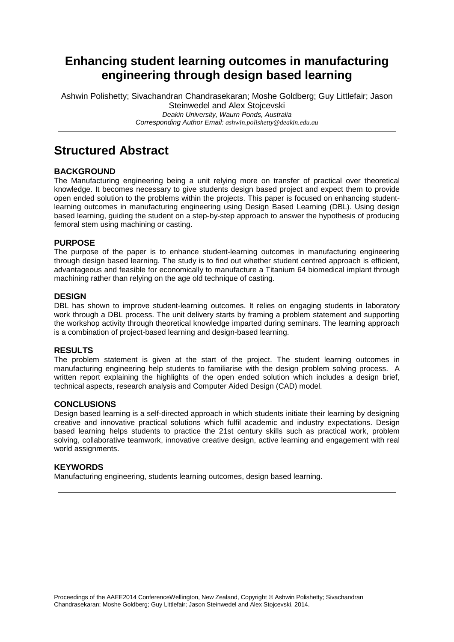# **Enhancing student learning outcomes in manufacturing engineering through design based learning**

Ashwin Polishetty; Sivachandran Chandrasekaran; Moshe Goldberg; Guy Littlefair; Jason Steinwedel and Alex Stojcevski *Deakin University, Waurn Ponds, Australia Corresponding Author Email: ashwin.polishetty@deakin.edu.au*

# **Structured Abstract**

## **BACKGROUND**

The Manufacturing engineering being a unit relying more on transfer of practical over theoretical knowledge. It becomes necessary to give students design based project and expect them to provide open ended solution to the problems within the projects. This paper is focused on enhancing studentlearning outcomes in manufacturing engineering using Design Based Learning (DBL). Using design based learning, guiding the student on a step-by-step approach to answer the hypothesis of producing femoral stem using machining or casting.

#### **PURPOSE**

The purpose of the paper is to enhance student-learning outcomes in manufacturing engineering through design based learning. The study is to find out whether student centred approach is efficient, advantageous and feasible for economically to manufacture a Titanium 64 biomedical implant through machining rather than relying on the age old technique of casting.

#### **DESIGN**

DBL has shown to improve student-learning outcomes. It relies on engaging students in laboratory work through a DBL process. The unit delivery starts by framing a problem statement and supporting the workshop activity through theoretical knowledge imparted during seminars. The learning approach is a combination of project-based learning and design-based learning.

#### **RESULTS**

The problem statement is given at the start of the project. The student learning outcomes in manufacturing engineering help students to familiarise with the design problem solving process. A written report explaining the highlights of the open ended solution which includes a design brief, technical aspects, research analysis and Computer Aided Design (CAD) model.

#### **CONCLUSIONS**

Design based learning is a self-directed approach in which students initiate their learning by designing creative and innovative practical solutions which fulfil academic and industry expectations. Design based learning helps students to practice the 21st century skills such as practical work, problem solving, collaborative teamwork, innovative creative design, active learning and engagement with real world assignments.

#### **KEYWORDS**

Manufacturing engineering, students learning outcomes, design based learning.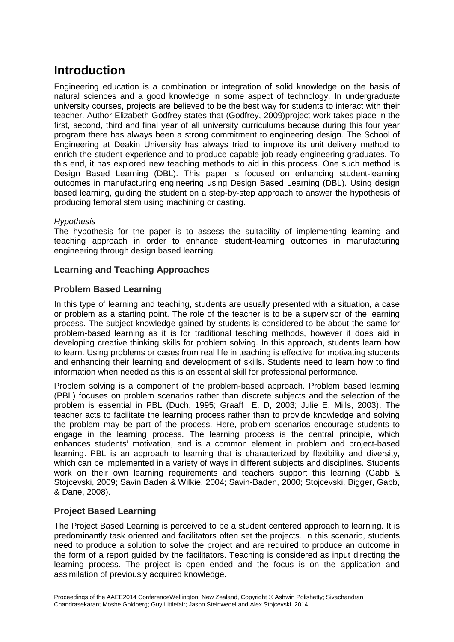# **Introduction**

Engineering education is a combination or integration of solid knowledge on the basis of natural sciences and a good knowledge in some aspect of technology. In undergraduate university courses, projects are believed to be the best way for students to interact with their teacher. Author Elizabeth Godfrey states that (Godfrey, 2009)project work takes place in the first, second, third and final year of all university curriculums because during this four year program there has always been a strong commitment to engineering design. The School of Engineering at Deakin University has always tried to improve its unit delivery method to enrich the student experience and to produce capable job ready engineering graduates. To this end, it has explored new teaching methods to aid in this process. One such method is Design Based Learning (DBL). This paper is focused on enhancing student-learning outcomes in manufacturing engineering using Design Based Learning (DBL). Using design based learning, guiding the student on a step-by-step approach to answer the hypothesis of producing femoral stem using machining or casting.

## *Hypothesis*

The hypothesis for the paper is to assess the suitability of implementing learning and teaching approach in order to enhance student-learning outcomes in manufacturing engineering through design based learning.

## **Learning and Teaching Approaches**

## **Problem Based Learning**

In this type of learning and teaching, students are usually presented with a situation, a case or problem as a starting point. The role of the teacher is to be a supervisor of the learning process. The subject knowledge gained by students is considered to be about the same for problem-based learning as it is for traditional teaching methods, however it does aid in developing creative thinking skills for problem solving. In this approach, students learn how to learn. Using problems or cases from real life in teaching is effective for motivating students and enhancing their learning and development of skills. Students need to learn how to find information when needed as this is an essential skill for professional performance.

Problem solving is a component of the problem-based approach. Problem based learning (PBL) focuses on problem scenarios rather than discrete subjects and the selection of the problem is essential in PBL (Duch, 1995; Graaff E. D, 2003; Julie E. Mills, 2003). The teacher acts to facilitate the learning process rather than to provide knowledge and solving the problem may be part of the process. Here, problem scenarios encourage students to engage in the learning process. The learning process is the central principle, which enhances students' motivation, and is a common element in problem and project-based learning. PBL is an approach to learning that is characterized by flexibility and diversity, which can be implemented in a variety of ways in different subjects and disciplines. Students work on their own learning requirements and teachers support this learning (Gabb & Stojcevski, 2009; Savin Baden & Wilkie, 2004; Savin-Baden, 2000; Stojcevski, Bigger, Gabb, & Dane, 2008).

## **Project Based Learning**

The Project Based Learning is perceived to be a student centered approach to learning. It is predominantly task oriented and facilitators often set the projects. In this scenario, students need to produce a solution to solve the project and are required to produce an outcome in the form of a report guided by the facilitators. Teaching is considered as input directing the learning process. The project is open ended and the focus is on the application and assimilation of previously acquired knowledge.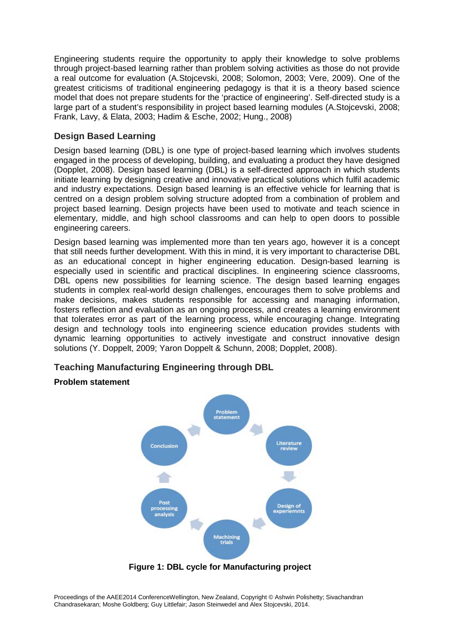Engineering students require the opportunity to apply their knowledge to solve problems through project-based learning rather than problem solving activities as those do not provide a real outcome for evaluation (A.Stojcevski, 2008; Solomon, 2003; Vere, 2009). One of the greatest criticisms of traditional engineering pedagogy is that it is a theory based science model that does not prepare students for the 'practice of engineering'. Self-directed study is a large part of a student's responsibility in project based learning modules (A.Stojcevski, 2008; Frank, Lavy, & Elata, 2003; Hadim & Esche, 2002; Hung., 2008)

## **Design Based Learning**

Design based learning (DBL) is one type of project-based learning which involves students engaged in the process of developing, building, and evaluating a product they have designed (Dopplet, 2008). Design based learning (DBL) is a self-directed approach in which students initiate learning by designing creative and innovative practical solutions which fulfil academic and industry expectations. Design based learning is an effective vehicle for learning that is centred on a design problem solving structure adopted from a combination of problem and project based learning. Design projects have been used to motivate and teach science in elementary, middle, and high school classrooms and can help to open doors to possible engineering careers.

Design based learning was implemented more than ten years ago, however it is a concept that still needs further development. With this in mind, it is very important to characterise DBL as an educational concept in higher engineering education. Design-based learning is especially used in scientific and practical disciplines. In engineering science classrooms, DBL opens new possibilities for learning science. The design based learning engages students in complex real-world design challenges, encourages them to solve problems and make decisions, makes students responsible for accessing and managing information, fosters reflection and evaluation as an ongoing process, and creates a learning environment that tolerates error as part of the learning process, while encouraging change. Integrating design and technology tools into engineering science education provides students with dynamic learning opportunities to actively investigate and construct innovative design solutions (Y. Doppelt, 2009; Yaron Doppelt & Schunn, 2008; Dopplet, 2008).

## **Teaching Manufacturing Engineering through DBL**

## **Problem statement**



**Figure 1: DBL cycle for Manufacturing project**

Proceedings of the AAEE2014 ConferenceWellington, New Zealand, Copyright © Ashwin Polishetty; Sivachandran Chandrasekaran; Moshe Goldberg; Guy Littlefair; Jason Steinwedel and Alex Stojcevski, 2014.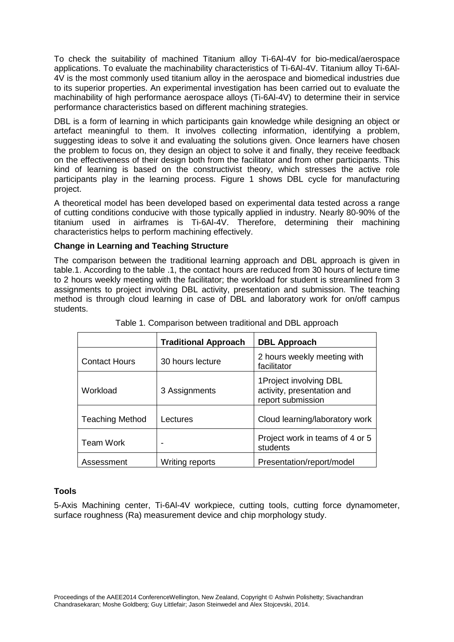To check the suitability of machined Titanium alloy Ti-6Al-4V for bio-medical/aerospace applications. To evaluate the machinability characteristics of Ti-6Al-4V. Titanium alloy Ti-6Al-4V is the most commonly used titanium alloy in the aerospace and biomedical industries due to its superior properties. An experimental investigation has been carried out to evaluate the machinability of high performance aerospace alloys (Ti-6Al-4V) to determine their in service performance characteristics based on different machining strategies.

DBL is a form of learning in which participants gain knowledge while designing an object or artefact meaningful to them. It involves collecting information, identifying a problem, suggesting ideas to solve it and evaluating the solutions given. Once learners have chosen the problem to focus on, they design an object to solve it and finally, they receive feedback on the effectiveness of their design both from the facilitator and from other participants. This kind of learning is based on the constructivist theory, which stresses the active role participants play in the learning process. Figure 1 shows DBL cycle for manufacturing project.

A theoretical model has been developed based on experimental data tested across a range of cutting conditions conducive with those typically applied in industry. Nearly 80-90% of the titanium used in airframes is Ti-6Al-4V. Therefore, determining their machining characteristics helps to perform machining effectively.

## **Change in Learning and Teaching Structure**

The comparison between the traditional learning approach and DBL approach is given in table.1. According to the table .1, the contact hours are reduced from 30 hours of lecture time to 2 hours weekly meeting with the facilitator; the workload for student is streamlined from 3 assignments to project involving DBL activity, presentation and submission. The teaching method is through cloud learning in case of DBL and laboratory work for on/off campus students.

|                        | <b>Traditional Approach</b> | <b>DBL Approach</b>                                                       |  |  |
|------------------------|-----------------------------|---------------------------------------------------------------------------|--|--|
| <b>Contact Hours</b>   | 30 hours lecture            | 2 hours weekly meeting with<br>facilitator                                |  |  |
| Workload               | 3 Assignments               | 1Project involving DBL<br>activity, presentation and<br>report submission |  |  |
| <b>Teaching Method</b> | Lectures                    | Cloud learning/laboratory work                                            |  |  |
| <b>Team Work</b>       |                             | Project work in teams of 4 or 5<br>students                               |  |  |
| Assessment             | Writing reports             | Presentation/report/model                                                 |  |  |

Table 1. Comparison between traditional and DBL approach

## **Tools**

5-Axis Machining center, Ti-6Al-4V workpiece, cutting tools, cutting force dynamometer, surface roughness (Ra) measurement device and chip morphology study.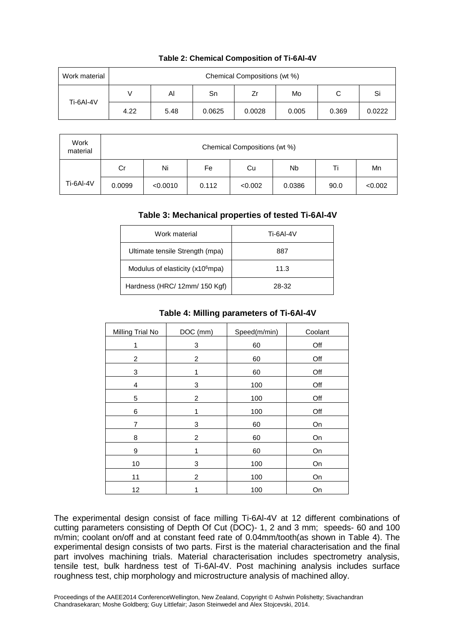| Work material | Chemical Compositions (wt %) |      |        |        |       |       |        |
|---------------|------------------------------|------|--------|--------|-------|-------|--------|
| Ti-6AI-4V     |                              | Al   | Sn     | Ζr     | Mo    | C     | Si     |
|               | 4.22                         | 5.48 | 0.0625 | 0.0028 | 0.005 | 0.369 | 0.0222 |

#### **Table 2: Chemical Composition of Ti-6Al-4V**

| Work<br>material | Chemical Compositions (wt %) |          |       |         |                      |      |         |
|------------------|------------------------------|----------|-------|---------|----------------------|------|---------|
|                  | Cr                           | Ni       | Fe    | Cu      | <b>N<sub>b</sub></b> | Τi   | Mn      |
| Ti-6Al-4V        | 0.0099                       | < 0.0010 | 0.112 | < 0.002 | 0.0386               | 90.0 | < 0.002 |

#### **Table 3: Mechanical properties of tested Ti-6Al-4V**

| Work material                                | Ti-6AI-4V |  |
|----------------------------------------------|-----------|--|
| Ultimate tensile Strength (mpa)              | 887       |  |
| Modulus of elasticity (x10 <sup>6</sup> mpa) | 11.3      |  |
| Hardness (HRC/ 12mm/ 150 Kgf)                | 28-32     |  |

#### **Table 4: Milling parameters of Ti-6Al-4V**

| Milling Trial No | DOC (mm)       | Speed(m/min) | Coolant |
|------------------|----------------|--------------|---------|
| 1                | 3              | 60           | Off     |
| 2                | 2              | 60           | Off     |
| 3                | 1              | 60           | Off     |
| 4                | 3              | 100          | Off     |
| 5                | $\overline{c}$ | 100          | Off     |
| 6                | 1              | 100          | Off     |
| $\overline{7}$   | 3              | 60           | On      |
| 8                | 2              | 60           | On      |
| 9                | 1              | 60           | On      |
| 10               | 3              | 100          | On      |
| 11               | $\overline{2}$ | 100          | On      |
| 12               | 1              | 100          | On      |

The experimental design consist of face milling Ti-6Al-4V at 12 different combinations of cutting parameters consisting of Depth Of Cut (DOC)- 1, 2 and 3 mm; speeds- 60 and 100 m/min; coolant on/off and at constant feed rate of 0.04mm/tooth(as shown in Table 4). The experimental design consists of two parts. First is the material characterisation and the final part involves machining trials. Material characterisation includes spectrometry analysis, tensile test, bulk hardness test of Ti-6Al-4V. Post machining analysis includes surface roughness test, chip morphology and microstructure analysis of machined alloy.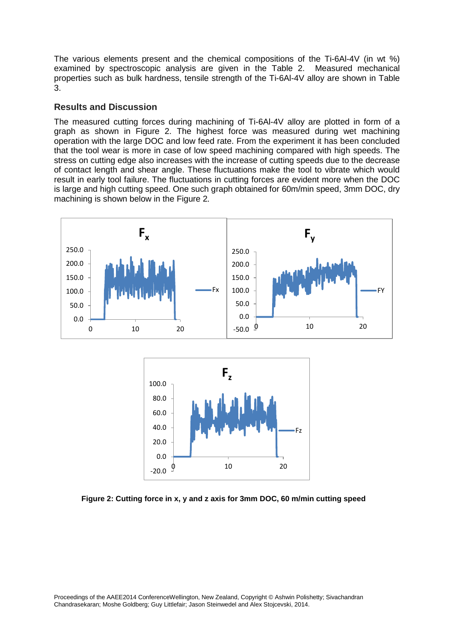The various elements present and the chemical compositions of the Ti-6Al-4V (in wt %) examined by spectroscopic analysis are given in the Table 2. Measured mechanical properties such as bulk hardness, tensile strength of the Ti-6Al-4V alloy are shown in Table 3.

## **Results and Discussion**

The measured cutting forces during machining of Ti-6Al-4V alloy are plotted in form of a graph as shown in Figure 2. The highest force was measured during wet machining operation with the large DOC and low feed rate. From the experiment it has been concluded that the tool wear is more in case of low speed machining compared with high speeds. The stress on cutting edge also increases with the increase of cutting speeds due to the decrease of contact length and shear angle. These fluctuations make the tool to vibrate which would result in early tool failure. The fluctuations in cutting forces are evident more when the DOC is large and high cutting speed. One such graph obtained for 60m/min speed, 3mm DOC, dry machining is shown below in the Figure 2*.*





**Figure 2: Cutting force in x, y and z axis for 3mm DOC, 60 m/min cutting speed**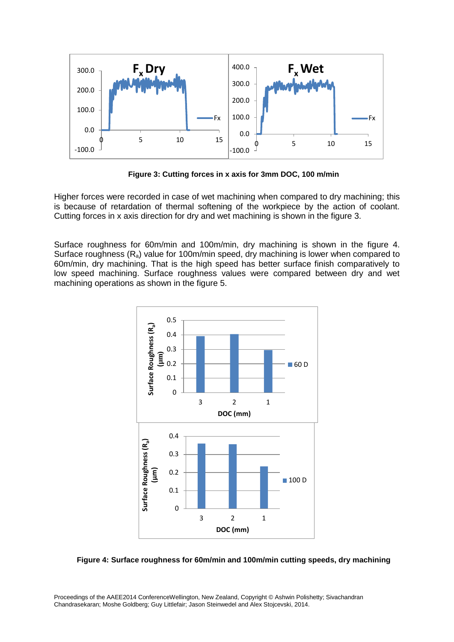

**Figure 3: Cutting forces in x axis for 3mm DOC, 100 m/min**

Higher forces were recorded in case of wet machining when compared to dry machining; this is because of retardation of thermal softening of the workpiece by the action of coolant. Cutting forces in x axis direction for dry and wet machining is shown in the figure 3.

Surface roughness for 60m/min and 100m/min, dry machining is shown in the figure 4. Surface roughness  $(R_a)$  value for 100m/min speed, dry machining is lower when compared to 60m/min, dry machining. That is the high speed has better surface finish comparatively to low speed machining. Surface roughness values were compared between dry and wet machining operations as shown in the figure 5.



**Figure 4: Surface roughness for 60m/min and 100m/min cutting speeds, dry machining**

Proceedings of the AAEE2014 ConferenceWellington, New Zealand, Copyright © Ashwin Polishetty; Sivachandran Chandrasekaran; Moshe Goldberg; Guy Littlefair; Jason Steinwedel and Alex Stojcevski, 2014.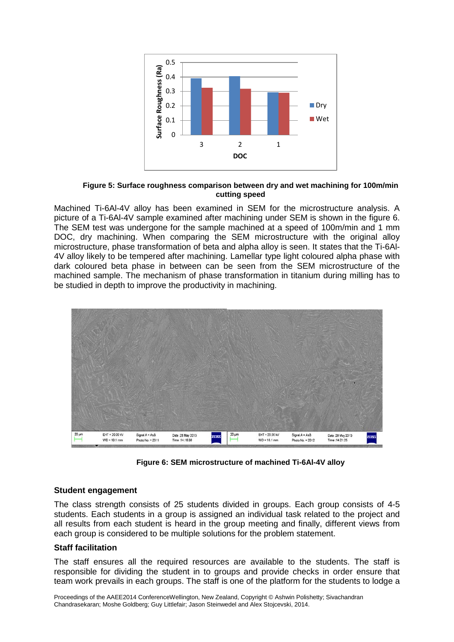

#### **Figure 5: Surface roughness comparison between dry and wet machining for 100m/min cutting speed**

Machined Ti-6Al-4V alloy has been examined in SEM for the microstructure analysis. A picture of a Ti-6Al-4V sample examined after machining under SEM is shown in the figure 6. The SEM test was undergone for the sample machined at a speed of 100m/min and 1 mm DOC, dry machining. When comparing the SEM microstructure with the original alloy microstructure, phase transformation of beta and alpha alloy is seen. It states that the Ti-6Al-4V alloy likely to be tempered after machining. Lamellar type light coloured alpha phase with dark coloured beta phase in between can be seen from the SEM microstructure of the machined sample. The mechanism of phase transformation in titanium during milling has to be studied in depth to improve the productivity in machining.



**Figure 6: SEM microstructure of machined Ti-6Al-4V alloy**

## **Student engagement**

The class strength consists of 25 students divided in groups. Each group consists of 4-5 students. Each students in a group is assigned an individual task related to the project and all results from each student is heard in the group meeting and finally, different views from each group is considered to be multiple solutions for the problem statement.

#### **Staff facilitation**

The staff ensures all the required resources are available to the students. The staff is responsible for dividing the student in to groups and provide checks in order ensure that team work prevails in each groups. The staff is one of the platform for the students to lodge a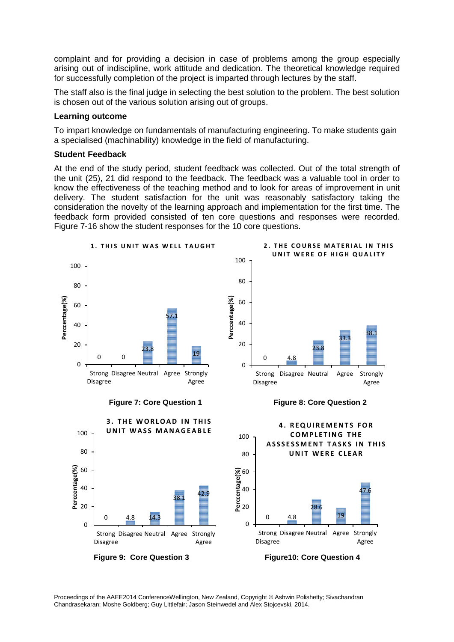complaint and for providing a decision in case of problems among the group especially arising out of indiscipline, work attitude and dedication. The theoretical knowledge required for successfully completion of the project is imparted through lectures by the staff.

The staff also is the final judge in selecting the best solution to the problem. The best solution is chosen out of the various solution arising out of groups.

#### **Learning outcome**

To impart knowledge on fundamentals of manufacturing engineering. To make students gain a specialised (machinability) knowledge in the field of manufacturing.

#### **Student Feedback**

At the end of the study period, student feedback was collected. Out of the total strength of the unit (25), 21 did respond to the feedback. The feedback was a valuable tool in order to know the effectiveness of the teaching method and to look for areas of improvement in unit delivery. The student satisfaction for the unit was reasonably satisfactory taking the consideration the novelty of the learning approach and implementation for the first time. The feedback form provided consisted of ten core questions and responses were recorded. Figure 7-16 show the student responses for the 10 core questions.

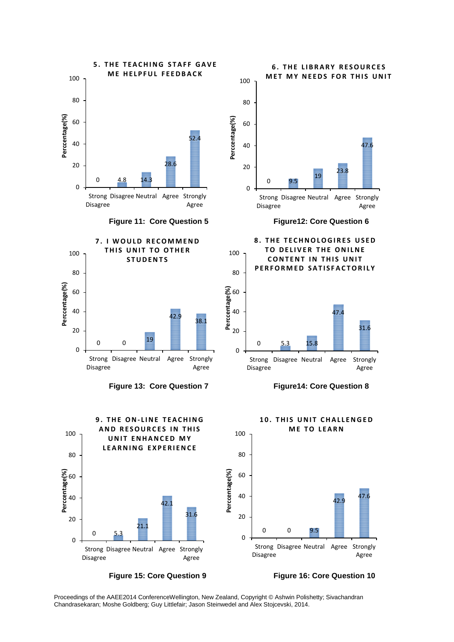

**Figure 15: Core Question 9 Figure 16: Core Question 10**

Proceedings of the AAEE2014 ConferenceWellington, New Zealand, Copyright © Ashwin Polishetty; Sivachandran Chandrasekaran; Moshe Goldberg; Guy Littlefair; Jason Steinwedel and Alex Stojcevski, 2014.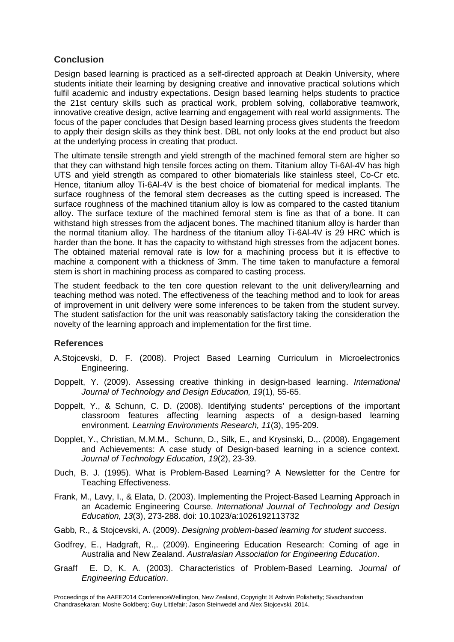# **Conclusion**

Design based learning is practiced as a self-directed approach at Deakin University, where students initiate their learning by designing creative and innovative practical solutions which fulfil academic and industry expectations. Design based learning helps students to practice the 21st century skills such as practical work, problem solving, collaborative teamwork, innovative creative design, active learning and engagement with real world assignments. The focus of the paper concludes that Design based learning process gives students the freedom to apply their design skills as they think best. DBL not only looks at the end product but also at the underlying process in creating that product.

The ultimate tensile strength and yield strength of the machined femoral stem are higher so that they can withstand high tensile forces acting on them. Titanium alloy Ti-6Al-4V has high UTS and yield strength as compared to other biomaterials like stainless steel, Co-Cr etc. Hence, titanium alloy Ti-6Al-4V is the best choice of biomaterial for medical implants. The surface roughness of the femoral stem decreases as the cutting speed is increased. The surface roughness of the machined titanium alloy is low as compared to the casted titanium alloy. The surface texture of the machined femoral stem is fine as that of a bone. It can withstand high stresses from the adjacent bones. The machined titanium alloy is harder than the normal titanium alloy. The hardness of the titanium alloy Ti-6Al-4V is 29 HRC which is harder than the bone. It has the capacity to withstand high stresses from the adjacent bones. The obtained material removal rate is low for a machining process but it is effective to machine a component with a thickness of 3mm. The time taken to manufacture a femoral stem is short in machining process as compared to casting process.

The student feedback to the ten core question relevant to the unit delivery/learning and teaching method was noted. The effectiveness of the teaching method and to look for areas of improvement in unit delivery were some inferences to be taken from the student survey. The student satisfaction for the unit was reasonably satisfactory taking the consideration the novelty of the learning approach and implementation for the first time.

## **References**

- A.Stojcevski, D. F. (2008). Project Based Learning Curriculum in Microelectronics Engineering.
- Doppelt, Y. (2009). Assessing creative thinking in design-based learning. *International Journal of Technology and Design Education, 19*(1), 55-65.
- Doppelt, Y., & Schunn, C. D. (2008). Identifying students' perceptions of the important classroom features affecting learning aspects of a design-based learning environment. *Learning Environments Research, 11*(3), 195-209.
- Dopplet, Y., Christian, M.M.M., Schunn, D., Silk, E., and Krysinski, D.,. (2008). Engagement and Achievements: A case study of Design-based learning in a science context. *Journal of Technology Education, 19*(2), 23-39.
- Duch, B. J. (1995). What is Problem-Based Learning? A Newsletter for the Centre for Teaching Effectiveness.
- Frank, M., Lavy, I., & Elata, D. (2003). Implementing the Project-Based Learning Approach in an Academic Engineering Course. *International Journal of Technology and Design Education, 13*(3), 273-288. doi: 10.1023/a:1026192113732
- Gabb, R., & Stojcevski, A. (2009). *Designing problem-based learning for student success*.
- Godfrey, E., Hadgraft, R.,. (2009). Engineering Education Research: Coming of age in Australia and New Zealand. *Australasian Association for Engineering Education*.
- Graaff E. D, K. A. (2003). Characteristics of Problem-Based Learning. *Journal of Engineering Education*.